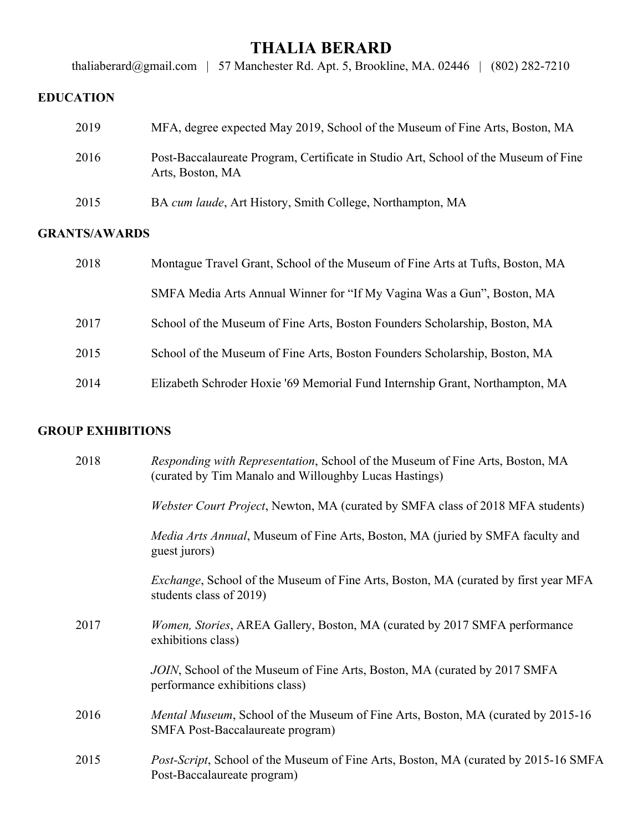# **THALIA BERARD**

[thaliaberard@gmail.com](mailto:tberard@smith.edu) | 57 Manchester Rd. Apt. 5, Brookline, MA. 02446 | (802) 282-7210

## **EDUCATION**

| 2019 | MFA, degree expected May 2019, School of the Museum of Fine Arts, Boston, MA                            |
|------|---------------------------------------------------------------------------------------------------------|
| 2016 | Post-Baccalaureate Program, Certificate in Studio Art, School of the Museum of Fine<br>Arts, Boston, MA |
| 2015 | BA cum laude, Art History, Smith College, Northampton, MA                                               |

#### **GRANTS/AWARDS**

| 2018 | Montague Travel Grant, School of the Museum of Fine Arts at Tufts, Boston, MA |
|------|-------------------------------------------------------------------------------|
|      | SMFA Media Arts Annual Winner for "If My Vagina Was a Gun", Boston, MA        |
| 2017 | School of the Museum of Fine Arts, Boston Founders Scholarship, Boston, MA    |
| 2015 | School of the Museum of Fine Arts, Boston Founders Scholarship, Boston, MA    |
| 2014 | Elizabeth Schroder Hoxie '69 Memorial Fund Internship Grant, Northampton, MA  |

### **GROUP EXHIBITIONS**

| 2018 | Responding with Representation, School of the Museum of Fine Arts, Boston, MA<br>(curated by Tim Manalo and Willoughby Lucas Hastings) |
|------|----------------------------------------------------------------------------------------------------------------------------------------|
|      | Webster Court Project, Newton, MA (curated by SMFA class of 2018 MFA students)                                                         |
|      | <i>Media Arts Annual</i> , Museum of Fine Arts, Boston, MA (juried by SMFA faculty and<br>guest jurors)                                |
|      | <i>Exchange</i> , School of the Museum of Fine Arts, Boston, MA (curated by first year MFA<br>students class of 2019)                  |
| 2017 | <i>Women, Stories, AREA Gallery, Boston, MA (curated by 2017 SMFA performance)</i><br>exhibitions class)                               |
|      | JOIN, School of the Museum of Fine Arts, Boston, MA (curated by 2017 SMFA)<br>performance exhibitions class)                           |
| 2016 | <i>Mental Museum</i> , School of the Museum of Fine Arts, Boston, MA (curated by 2015-16)<br>SMFA Post-Baccalaureate program)          |
| 2015 | <i>Post-Script</i> , School of the Museum of Fine Arts, Boston, MA (curated by 2015-16 SMFA<br>Post-Baccalaureate program)             |